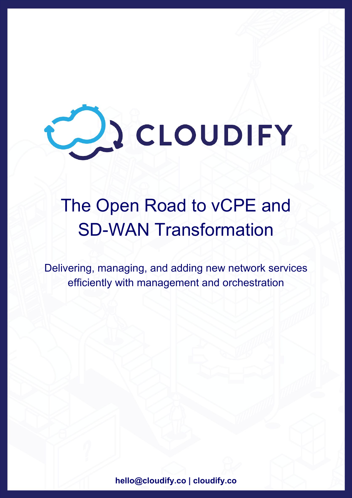

# The Open Road to vCPE and SD-WAN Transformation

Delivering, managing, and adding new network services efficiently with management and orchestration

**[hello@cloudify.co](mailto:hello@cloudify.co) | cloudify.co**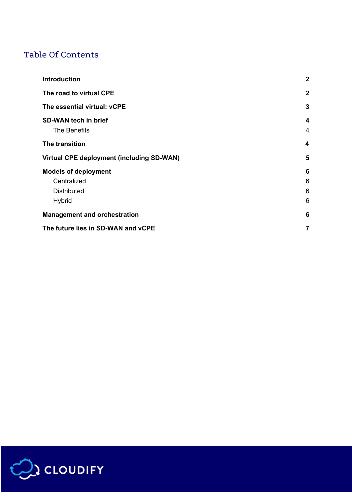## Table Of Contents

| <b>Introduction</b>                         | $\boldsymbol{2}$    |
|---------------------------------------------|---------------------|
| The road to virtual CPE                     | $\mathbf{2}$        |
| The essential virtual: vCPE                 | 3                   |
| <b>SD-WAN tech in brief</b><br>The Benefits | 4<br>$\overline{4}$ |
| The transition                              | 4                   |
| Virtual CPE deployment (including SD-WAN)   | 5                   |
| <b>Models of deployment</b>                 | 6                   |
| Centralized                                 | 6                   |
| <b>Distributed</b>                          | 6                   |
| <b>Hybrid</b>                               | 6                   |
| <b>Management and orchestration</b>         | 6                   |
| The future lies in SD-WAN and vCPE          | $\overline{7}$      |

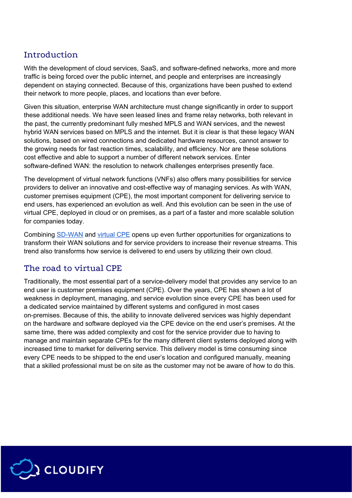#### <span id="page-2-0"></span>Introduction

With the development of cloud services, SaaS, and software-defined networks, more and more traffic is being forced over the public internet, and people and enterprises are increasingly dependent on staying connected. Because of this, organizations have been pushed to extend their network to more people, places, and locations than ever before.

Given this situation, enterprise WAN architecture must change significantly in order to support these additional needs. We have seen leased lines and frame relay networks, both relevant in the past, the currently predominant fully meshed MPLS and WAN services, and the newest hybrid WAN services based on MPLS and the internet. But it is clear is that these legacy WAN solutions, based on wired connections and dedicated hardware resources, cannot answer to the growing needs for fast reaction times, scalability, and efficiency. Nor are these solutions cost effective and able to support a number of different network services. Enter software-defined WAN: the resolution to network challenges enterprises presently face.

The development of virtual network functions (VNFs) also offers many possibilities for service providers to deliver an innovative and cost-effective way of managing services. As with WAN, customer premises equipment (CPE), the most important component for delivering service to end users, has experienced an evolution as well. And this evolution can be seen in the use of virtual CPE, deployed in cloud or on premises, as a part of a faster and more scalable solution for companies today.

Combining [SD-WAN](https://cloudify.co/2018/02/15/comparing-open-vcpe-sd-wan-closed-proprietary-solutions/) and [virtual](https://cloudify.co/product/open-vcpe-solution) CPE opens up even further opportunities for organizations to transform their WAN solutions and for service providers to increase their revenue streams. This trend also transforms how service is delivered to end users by utilizing their own cloud.

## <span id="page-2-1"></span>The road to virtual CPE

Traditionally, the most essential part of a service-delivery model that provides any service to an end user is customer premises equipment (CPE). Over the years, CPE has shown a lot of weakness in deployment, managing, and service evolution since every CPE has been used for a dedicated service maintained by different systems and configured in most cases on-premises. Because of this, the ability to innovate delivered services was highly dependant on the hardware and software deployed via the CPE device on the end user's premises. At the same time, there was added complexity and cost for the service provider due to having to manage and maintain separate CPEs for the many different client systems deployed along with increased time to market for delivering service. This delivery model is time consuming since every CPE needs to be shipped to the end user's location and configured manually, meaning that a skilled professional must be on site as the customer may not be aware of how to do this.

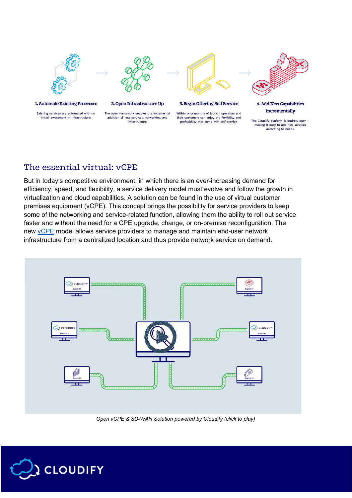

according to needs.

#### <span id="page-3-0"></span>The essential virtual: vCPE

But in today's competitive environment, in which there is an ever-increasing demand for efficiency, speed, and flexibility, a service delivery model must evolve and follow the growth in virtualization and cloud capabilities. A solution can be found in the use of virtual customer premises equipment (vCPE). This concept brings the possibility for service providers to keep some of the networking and service-related function, allowing them the ability to roll out service faster and without the need for a CPE upgrade, change, or on-premise reconfiguration. The new [vCPE](https://cloudify.co/whitepapers/use-NFV-deploy-universal-CPE) model allows service providers to manage and maintain end-user network infrastructure from a centralized location and thus provide network service on demand.



*Open vCPE & SD-WAN Solution powered by Cloudify (click to play)*

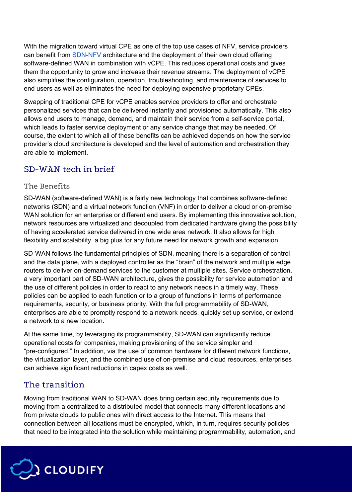With the migration toward virtual CPE as one of the top use cases of NFV, service providers can benefit from  $SDN-NFV$  architecture and the deployment of their own cloud offering software-defined WAN in combination with vCPE. This reduces operational costs and gives them the opportunity to grow and increase their revenue streams. The deployment of vCPE also simplifies the configuration, operation, troubleshooting, and maintenance of services to end users as well as eliminates the need for deploying expensive proprietary CPEs.

Swapping of traditional CPE for vCPE enables service providers to offer and orchestrate personalized services that can be delivered instantly and provisioned automatically. This also allows end users to manage, demand, and maintain their service from a self-service portal, which leads to faster service deployment or any service change that may be needed. Of course, the extent to which all of these benefits can be achieved depends on how the service provider's cloud architecture is developed and the level of automation and orchestration they are able to implement.

## <span id="page-4-0"></span>SD-WAN tech in brief

#### <span id="page-4-1"></span>The Benefits

SD-WAN (software-defined WAN) is a fairly new technology that combines software-defined networks (SDN) and a virtual network function (VNF) in order to deliver a cloud or on-premise WAN solution for an enterprise or different end users. By implementing this innovative solution, network resources are virtualized and decoupled from dedicated hardware giving the possibility of having accelerated service delivered in one wide area network. It also allows for high flexibility and scalability, a big plus for any future need for network growth and expansion.

SD-WAN follows the fundamental principles of SDN, meaning there is a separation of control and the data plane, with a deployed controller as the "brain" of the network and multiple edge routers to deliver on-demand services to the customer at multiple sites. Service orchestration, a very important part of SD-WAN architecture, gives the possibility for service automation and the use of different policies in order to react to any network needs in a timely way. These policies can be applied to each function or to a group of functions in terms of performance requirements, security, or business priority. With the full programmability of SD-WAN, enterprises are able to promptly respond to a network needs, quickly set up service, or extend a network to a new location.

At the same time, by leveraging its programmability, SD-WAN can significantly reduce operational costs for companies, making provisioning of the service simpler and "pre-configured." In addition, via the use of common hardware for different network functions, the virtualization layer, and the combined use of on-premise and cloud resources, enterprises can achieve significant reductions in capex costs as well.

## <span id="page-4-2"></span>The transition

Moving from traditional WAN to SD-WAN does bring certain security requirements due to moving from a centralized to a distributed model that connects many different locations and from private clouds to public ones with direct access to the Internet. This means that connection between all locations must be encrypted, which, in turn, requires security policies that need to be integrated into the solution while maintaining programmability, automation, and

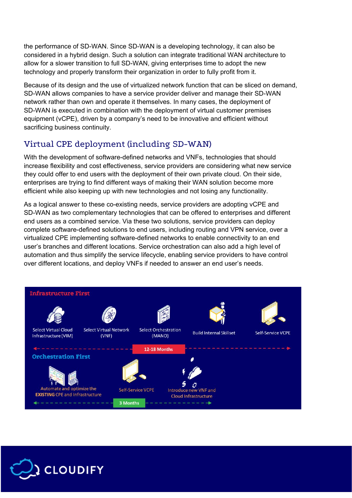the performance of SD-WAN. Since SD-WAN is a developing technology, it can also be considered in a hybrid design. Such a solution can integrate traditional WAN architecture to allow for a slower transition to full SD-WAN, giving enterprises time to adopt the new technology and properly transform their organization in order to fully profit from it.

Because of its design and the use of virtualized network function that can be sliced on demand, SD-WAN allows companies to have a service provider deliver and manage their SD-WAN network rather than own and operate it themselves. In many cases, the deployment of SD-WAN is executed in combination with the deployment of virtual customer premises equipment (vCPE), driven by a company's need to be innovative and efficient without sacrificing business continuity.

## <span id="page-5-0"></span>Virtual CPE deployment (including SD-WAN)

With the development of software-defined networks and VNFs, technologies that should increase flexibility and cost effectiveness, service providers are considering what new service they could offer to end users with the deployment of their own private cloud. On their side, enterprises are trying to find different ways of making their WAN solution become more efficient while also keeping up with new technologies and not losing any functionality.

As a logical answer to these co-existing needs, service providers are adopting vCPE and SD-WAN as two complementary technologies that can be offered to enterprises and different end users as a combined service. Via these two solutions, service providers can deploy complete software-defined solutions to end users, including routing and VPN service, over a virtualized CPE implementing software-defined networks to enable connectivity to an end user's branches and different locations. Service orchestration can also add a high level of automation and thus simplify the service lifecycle, enabling service providers to have control over different locations, and deploy VNFs if needed to answer an end user's needs.



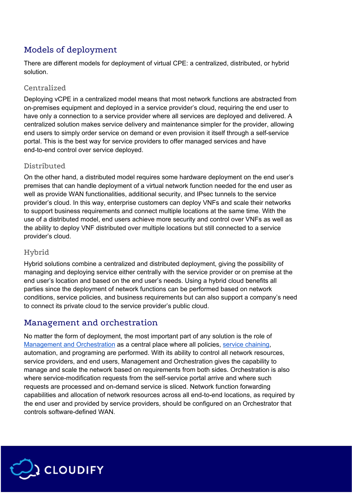# <span id="page-6-0"></span>Models of deployment

There are different models for deployment of virtual CPE: a centralized, distributed, or hybrid solution.

#### <span id="page-6-1"></span>Centralized

Deploying vCPE in a centralized model means that most network functions are abstracted from on-premises equipment and deployed in a service provider's cloud, requiring the end user to have only a connection to a service provider where all services are deployed and delivered. A centralized solution makes service delivery and maintenance simpler for the provider, allowing end users to simply order service on demand or even provision it itself through a self-service portal. This is the best way for service providers to offer managed services and have end-to-end control over service deployed.

#### <span id="page-6-2"></span>Distributed

On the other hand, a distributed model requires some hardware deployment on the end user's premises that can handle deployment of a virtual network function needed for the end user as well as provide WAN functionalities, additional security, and IPsec tunnels to the service provider's cloud. In this way, enterprise customers can deploy VNFs and scale their networks to support business requirements and connect multiple locations at the same time. With the use of a distributed model, end users achieve more security and control over VNFs as well as the ability to deploy VNF distributed over multiple locations but still connected to a service provider's cloud.

#### <span id="page-6-3"></span>Hybrid

Hybrid solutions combine a centralized and distributed deployment, giving the possibility of managing and deploying service either centrally with the service provider or on premise at the end user's location and based on the end user's needs. Using a hybrid cloud benefits all parties since the deployment of network functions can be performed based on network conditions, service policies, and business requirements but can also support a company's need to connect its private cloud to the service provider's public cloud.

## <span id="page-6-4"></span>Management and orchestration

No matter the form of deployment, the most important part of any solution is the role of Management and [Orchestration](https://cloudify.co/product/) as a central place where all policies, service [chaining](https://cloudify.co/2017/03/01/open-source-dynamic-integration-based-vcpe-sdwan-orchestration-service-cloudify.html), automation, and programing are performed. With its ability to control all network resources, service providers, and end users, Management and Orchestration gives the capability to manage and scale the network based on requirements from both sides. Orchestration is also where service-modification requests from the self-service portal arrive and where such requests are processed and on-demand service is sliced. Network function forwarding capabilities and allocation of network resources across all end-to-end locations, as required by the end user and provided by service providers, should be configured on an Orchestrator that controls software-defined WAN.

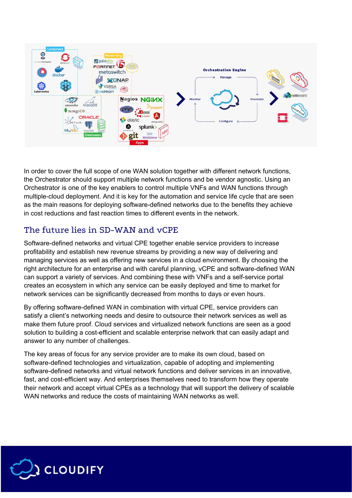

In order to cover the full scope of one WAN solution together with different network functions, the Orchestrator should support multiple network functions and be vendor agnostic. Using an Orchestrator is one of the key enablers to control multiple VNFs and WAN functions through multiple-cloud deployment. And it is key for the automation and service life cycle that are seen as the main reasons for deploying software-defined networks due to the benefits they achieve in cost reductions and fast reaction times to different events in the network.

## <span id="page-7-0"></span>The future lies in SD-WAN and vCPE

Software-defined networks and virtual CPE together enable service providers to increase profitability and establish new revenue streams by providing a new way of delivering and managing services as well as offering new services in a cloud environment. By choosing the right architecture for an enterprise and with careful planning, vCPE and software-defined WAN can support a variety of services. And combining these with VNFs and a self-service portal creates an ecosystem in which any service can be easily deployed and time to market for network services can be significantly decreased from months to days or even hours.

By offering software-defined WAN in combination with virtual CPE, service providers can satisfy a client's networking needs and desire to outsource their network services as well as make them future proof. Cloud services and virtualized network functions are seen as a good solution to building a cost-efficient and scalable enterprise network that can easily adapt and answer to any number of challenges.

The key areas of focus for any service provider are to make its own cloud, based on software-defined technologies and virtualization, capable of adopting and implementing software-defined networks and virtual network functions and deliver services in an innovative, fast, and cost-efficient way. And enterprises themselves need to transform how they operate their network and accept virtual CPEs as a technology that will support the delivery of scalable WAN networks and reduce the costs of maintaining WAN networks as well.